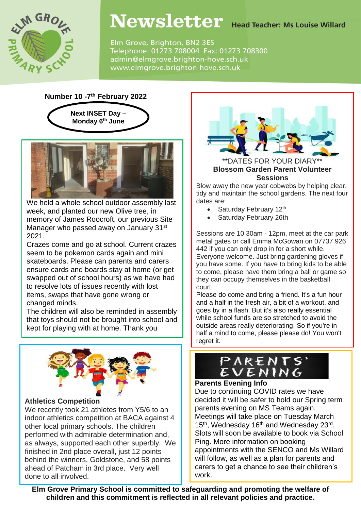

# Newsletter Head Teacher: Ms Louise Willard

Elm Grove, Brighton, BN2 3ES Telephone: 01273 708004 Fax: 01273 708300 admin@elmgrove.brighton-hove.sch.uk www.elmgrove.brighton-hove.sch.uk

### **Number 10 -7 th February 2022**



We held a whole school outdoor assembly last week, and planted our new Olive tree, in memory of James Roocroft, our previous Site Manager who passed away on January 31<sup>st</sup> 2021.

Crazes come and go at school. Current crazes seem to be pokemon cards again and mini skateboards. Please can parents and carers ensure cards and boards stay at home (or get swapped out of school hours) as we have had to resolve lots of issues recently with lost items, swaps that have gone wrong or changed minds.

The children will also be reminded in assembly that toys should not be brought into school and kept for playing with at home. Thank you



#### **Athletics Competition**

We recently took 21 athletes from Y5/6 to an indoor athletics competition at BACA against 4 other local primary schools. The children performed with admirable determination and, as always, supported each other superbly. We finished in 2nd place overall, just 12 points behind the winners, Goldstone, and 58 points ahead of Patcham in 3rd place. Very well done to all involved.



\*DATES FOR YOUR DIARY **Blossom Garden Parent Volunteer Sessions**

Blow away the new year cobwebs by helping clear, tidy and maintain the school gardens. The next four dates are:

- Saturday February  $12<sup>th</sup>$
- Saturday February 26th

Sessions are 10.30am - 12pm, meet at the car park metal gates or call Emma McGowan on 07737 926 442 if you can only drop in for a short while. Everyone welcome. Just bring gardening gloves if you have some. If you have to bring kids to be able to come, please have them bring a ball or game so they can occupy themselves in the basketball court.

Please do come and bring a friend. It's a fun hour and a half in the fresh air, a bit of a workout, and goes by in a flash. But it's also really essential while school funds are so stretched to avoid the outside areas really deteriorating. So if you're in half a mind to come, please please do! You won't regret it.

# PARENTS'

# **Parents Evening Info**

Due to continuing COVID rates we have decided it will be safer to hold our Spring term parents evening on MS Teams again. Meetings will take place on Tuesday March 15<sup>th</sup>, Wednesday 16<sup>th</sup> and Wednesday 23<sup>rd</sup>. Slots will soon be available to book via School Ping. More information on booking appointments with the SENCO and Ms Willard will follow, as well as a plan for parents and carers to get a chance to see their children's work.

**Elm Grove Primary School is committed to safeguarding and promoting the welfare of children and this commitment is reflected in all relevant policies and practice.**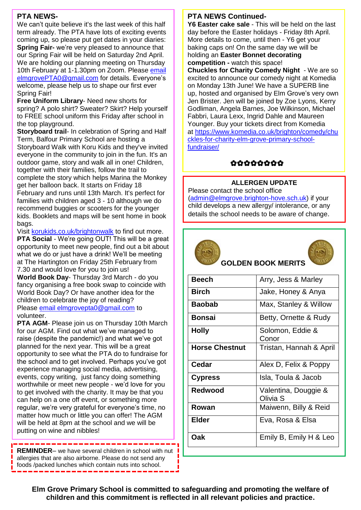#### **PTA NEWS-**

We can't quite believe it's the last week of this half term already. The PTA have lots of exciting events coming up, so please put get dates in your diaries: **Spring Fair-** we're very pleased to announce that our Spring Fair will be held on Saturday 2nd April. We are holding our planning meeting on Thursday 10th February at 1-1.30pm on Zoom. Please [email](mailto:elmgrovePTA0@gmail.com) [elmgrovePTA0@gmail.com](mailto:elmgrovePTA0@gmail.com) for details. Everyone's welcome, please help us to shape our first ever Spring Fair!

**Free Uniform Library**- Need new shorts for spring? A polo shirt? Sweater? Skirt? Help yourself to FREE school uniform this Friday after school in the top playground.

**Storyboard trail**- In celebration of Spring and Half Term, Balfour Primary School are hosting a Storyboard Walk with Koru Kids and they've invited everyone in the community to join in the fun. It's an outdoor game, story and walk all in one! Children, together with their families, follow the trail to complete the story which helps Marina the Monkey get her balloon back. It starts on Friday 18 February and runs until 13th March. It's perfect for families with children aged 3 - 10 although we do recommend buggies or scooters for the younger kids. Booklets and maps will be sent home in book bags.

Visit [korukids.co.uk/brightonwalk](http://korukids.co.uk/brightonwalk) to find out more. **PTA Social** - We're going OUT! This will be a great opportunity to meet new people, find out a bit about what we do or just have a drink! We'll be meeting at The Hartington on Friday 25th February from 7.30 and would love for you to join us!

**World Book Day**- Thursday 3rd March - do you fancy organising a free book swap to coincide with World Book Day? Or have another idea for the children to celebrate the joy of reading? Please email [elmgrovepta0@gmail.com](mailto:elmgrovepta0@gmail.com) to volunteer.

**PTA AGM-** Please join us on Thursday 10th March for our AGM. Find out what we've managed to raise (despite the pandemic!) and what we've got planned for the next year. This will be a great opportunity to see what the PTA do to fundraise for the school and to get involved. Perhaps you've got experience managing social media, advertising, events, copy writing, just fancy doing something worthwhile or meet new people - we'd love for you to get involved with the charity. It may be that you can help on a one off event, or something more regular, we're very grateful for everyone's time, no matter how much or little you can offer! The AGM will be held at 8pm at the school and we will be putting on wine and nibbles!

**REMINDER**– we have several children in school with nut **I** allergies that are also airborne. Please do not send any foods /packed lunches which contain nuts into school.

#### **PTA NEWS Continued-**

**Y6 Easter cake sale** - This will be held on the last day before the Easter holidays - Friday 8th April. More details to come, until then - Y6 get your baking caps on! On the same day we will be holding an **Easter Bonnet decorating competition -** watch this space!

**Chuckles for Charity Comedy Night** - We are so excited to announce our comedy night at Komedia on Monday 13th June! We have a SUPERB line up, hosted and organised by Elm Grove's very own Jen Brister. Jen will be joined by Zoe Lyons, Kerry Godliman, Angela Barnes, Joe Wilkinson, Michael Fabbri, Laura Lexx, Ingrid Dahle and Maureen Younger. Buy your tickets direct from Komedia at [https://www.komedia.co.uk/brighton/comedy/chu](https://www.komedia.co.uk/brighton/comedy/chuckles-for-charity-elm-grove-primary-school-fundraiser/) [ckles-for-charity-elm-grove-primary-school](https://www.komedia.co.uk/brighton/comedy/chuckles-for-charity-elm-grove-primary-school-fundraiser/)[fundraiser/](https://www.komedia.co.uk/brighton/comedy/chuckles-for-charity-elm-grove-primary-school-fundraiser/)

# 00000000

#### **ALLERGEN UPDATE**

Please contact the school office [\(admin@elmgrove.brighton-hove.sch.uk\)](mailto:admin@elmgrove.brighton-hove.sch.uk) if your child develops a new allergy/ intolerance, or any details the school needs to be aware of change.





# **GOLDEN BOOK MERITS**

| <b>Beech</b>          | Arry, Jess & Marley              |
|-----------------------|----------------------------------|
| <b>Birch</b>          | Jake, Honey & Anya               |
| <b>Baobab</b>         | Max, Stanley & Willow            |
| <b>Bonsai</b>         | Betty, Ornette & Rudy            |
| <b>Holly</b>          | Solomon, Eddie &<br>Conor        |
| <b>Horse Chestnut</b> | Tristan, Hannah & April          |
| Cedar                 | Alex D, Felix & Poppy            |
| <b>Cypress</b>        | Isla, Toula & Jacob              |
| Redwood               | Valentina, Douggie &<br>Olivia S |
| Rowan                 | Maiwenn, Billy & Reid            |
| Elder                 | Eva, Rosa & Elsa                 |
| Oak                   | Emily B, Emily H & Leo           |

**Elm Grove Primary School is committed to safeguarding and promoting the welfare of children and this commitment is reflected in all relevant policies and practice.**